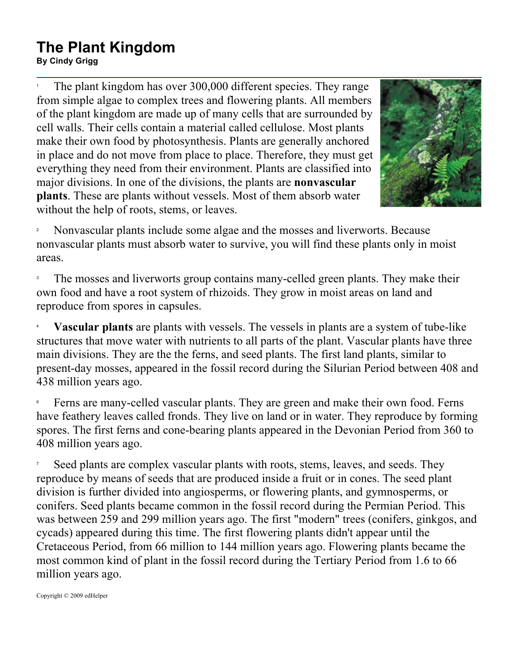## **The Plant Kingdom By Cindy Grigg**<br>By Cindy Grigg

1 The plant kingdom has over 300,000 different species. They range from simple algae to complex trees and flowering plants. All members of the plant kingdom are made up of many cells that are surrounded by cell walls. Their cells contain a material called cellulose. Most plants make their own food by photosynthesis. Plants are generally anchored in place and do not move from place to place. Therefore, they must get everything they need from their environment. Plants are classified into major divisions. In one of the divisions, the plants are **nonvascular plants**. These are plants without vessels. Most of them absorb water without the help of roots, stems, or leaves.



2 Nonvascular plants include some algae and the mosses and liverworts. Because nonvascular plants must absorb water to survive, you will find these plants only in moist areas.

3 The mosses and liverworts group contains many-celled green plants. They make their own food and have a root system of rhizoids. They grow in moist areas on land and reproduce from spores in capsules.

4 **Vascular plants** are plants with vessels. The vessels in plants are a system of tube-like structures that move water with nutrients to all parts of the plant. Vascular plants have three main divisions. They are the the ferns, and seed plants. The first land plants, similar to present-day mosses, appeared in the fossil record during the Silurian Period between 408 and 438 million years ago.

6 Ferns are many-celled vascular plants. They are green and make their own food. Ferns have feathery leaves called fronds. They live on land or in water. They reproduce by forming spores. The first ferns and cone-bearing plants appeared in the Devonian Period from 360 to 408 million years ago.

7 Seed plants are complex vascular plants with roots, stems, leaves, and seeds. They reproduce by means of seeds that are produced inside a fruit or in cones. The seed plant division is further divided into angiosperms, or flowering plants, and gymnosperms, or conifers. Seed plants became common in the fossil record during the Permian Period. This was between 259 and 299 million years ago. The first "modern" trees (conifers, ginkgos, and cycads) appeared during this time. The first flowering plants didn't appear until the Cretaceous Period, from 66 million to 144 million years ago. Flowering plants became the most common kind of plant in the fossil record during the Tertiary Period from 1.6 to 66 million years ago.